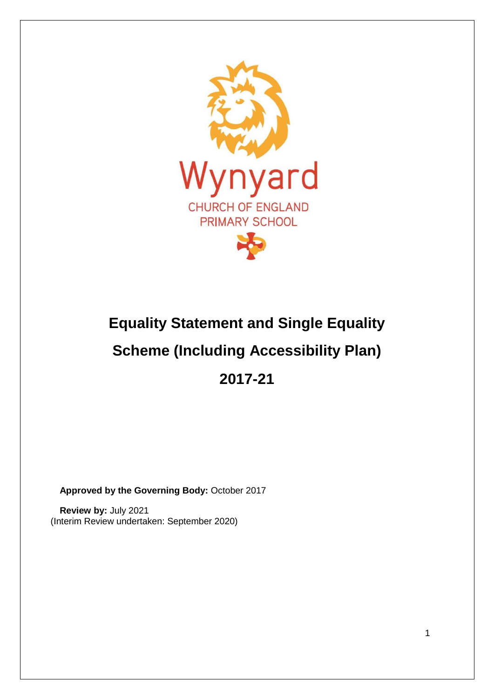

# **Equality Statement and Single Equality Scheme (Including Accessibility Plan) 2017-21**

**Approved by the Governing Body:** October 2017

**Review by:** July 2021 (Interim Review undertaken: September 2020)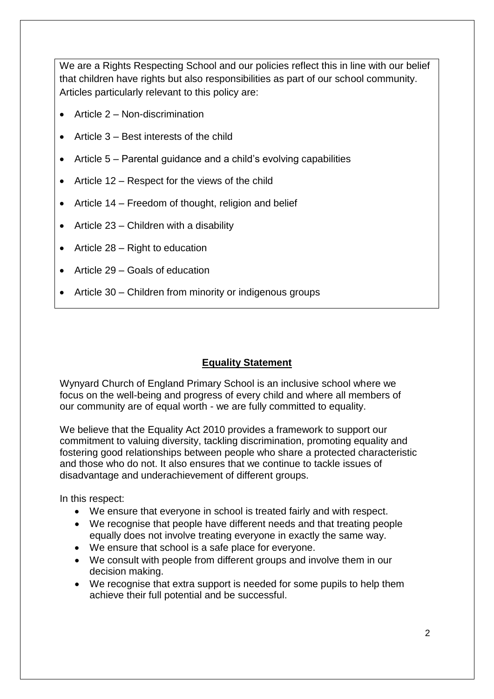We are a Rights Respecting School and our policies reflect this in line with our belief that children have rights but also responsibilities as part of our school community. Articles particularly relevant to this policy are:

- Article 2 Non-discrimination
- Article 3 Best interests of the child
- Article 5 Parental guidance and a child's evolving capabilities
- Article 12 Respect for the views of the child
- Article 14 Freedom of thought, religion and belief
- Article  $23 -$ Children with a disability
- Article  $28 -$  Right to education
- Article 29 Goals of education
- Article 30 Children from minority or indigenous groups

# **Equality Statement**

Wynyard Church of England Primary School is an inclusive school where we focus on the well-being and progress of every child and where all members of our community are of equal worth - we are fully committed to equality.

We believe that the Equality Act 2010 provides a framework to support our commitment to valuing diversity, tackling discrimination, promoting equality and fostering good relationships between people who share a protected characteristic and those who do not. It also ensures that we continue to tackle issues of disadvantage and underachievement of different groups.

In this respect:

- We ensure that everyone in school is treated fairly and with respect.
- We recognise that people have different needs and that treating people equally does not involve treating everyone in exactly the same way.
- We ensure that school is a safe place for everyone.
- We consult with people from different groups and involve them in our decision making.
- We recognise that extra support is needed for some pupils to help them achieve their full potential and be successful.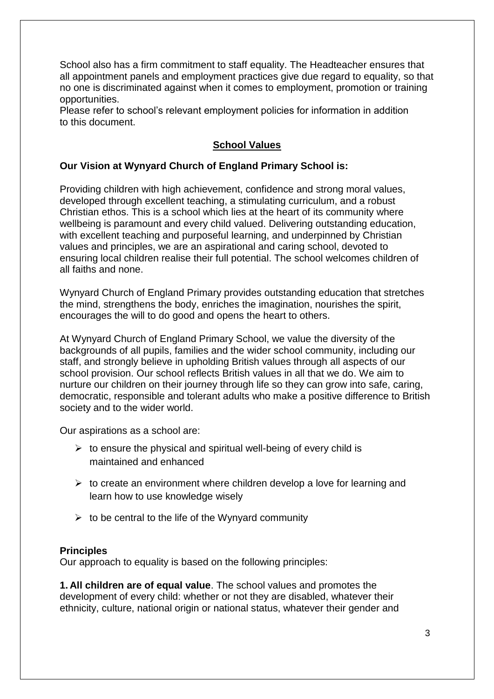School also has a firm commitment to staff equality. The Headteacher ensures that all appointment panels and employment practices give due regard to equality, so that no one is discriminated against when it comes to employment, promotion or training opportunities.

Please refer to school's relevant employment policies for information in addition to this document.

# **School Values**

## **Our Vision at Wynyard Church of England Primary School is:**

Providing children with high achievement, confidence and strong moral values, developed through excellent teaching, a stimulating curriculum, and a robust Christian ethos. This is a school which lies at the heart of its community where wellbeing is paramount and every child valued. Delivering outstanding education, with excellent teaching and purposeful learning, and underpinned by Christian values and principles, we are an aspirational and caring school, devoted to ensuring local children realise their full potential. The school welcomes children of all faiths and none.

Wynyard Church of England Primary provides outstanding education that stretches the mind, strengthens the body, enriches the imagination, nourishes the spirit, encourages the will to do good and opens the heart to others.

At Wynyard Church of England Primary School, we value the diversity of the backgrounds of all pupils, families and the wider school community, including our staff, and strongly believe in upholding British values through all aspects of our school provision. Our school reflects British values in all that we do. We aim to nurture our children on their journey through life so they can grow into safe, caring, democratic, responsible and tolerant adults who make a positive difference to British society and to the wider world.

Our aspirations as a school are:

- $\triangleright$  to ensure the physical and spiritual well-being of every child is maintained and enhanced
- $\triangleright$  to create an environment where children develop a love for learning and learn how to use knowledge wisely
- $\triangleright$  to be central to the life of the Wynyard community

#### **Principles**

Our approach to equality is based on the following principles:

**1. All children are of equal value**. The school values and promotes the development of every child: whether or not they are disabled, whatever their ethnicity, culture, national origin or national status, whatever their gender and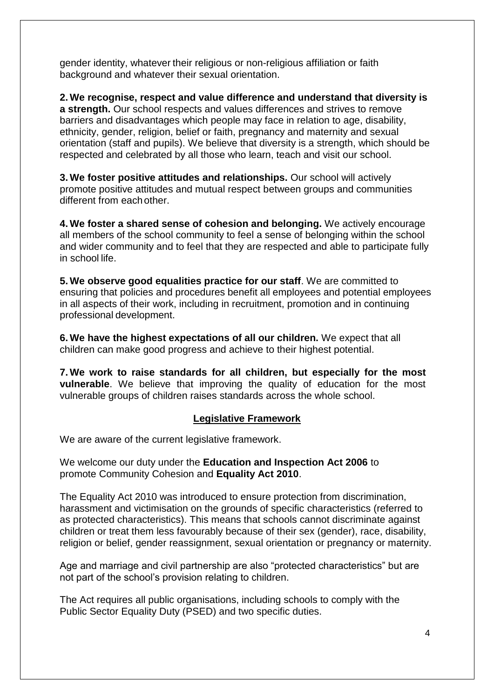gender identity, whatever their religious or non-religious affiliation or faith background and whatever their sexual orientation.

**2. We recognise, respect and value difference and understand that diversity is a strength.** Our school respects and values differences and strives to remove barriers and disadvantages which people may face in relation to age, disability, ethnicity, gender, religion, belief or faith, pregnancy and maternity and sexual orientation (staff and pupils). We believe that diversity is a strength, which should be respected and celebrated by all those who learn, teach and visit our school.

**3. We foster positive attitudes and relationships.** Our school will actively promote positive attitudes and mutual respect between groups and communities different from eachother.

**4. We foster a shared sense of cohesion and belonging.** We actively encourage all members of the school community to feel a sense of belonging within the school and wider community and to feel that they are respected and able to participate fully in school life.

**5. We observe good equalities practice for our staff**. We are committed to ensuring that policies and procedures benefit all employees and potential employees in all aspects of their work, including in recruitment, promotion and in continuing professional development.

**6. We have the highest expectations of all our children.** We expect that all children can make good progress and achieve to their highest potential.

**7. We work to raise standards for all children, but especially for the most vulnerable**. We believe that improving the quality of education for the most vulnerable groups of children raises standards across the whole school.

# **Legislative Framework**

We are aware of the current legislative framework.

We welcome our duty under the **Education and Inspection Act 2006** to promote Community Cohesion and **Equality Act 2010**.

The Equality Act 2010 was introduced to ensure protection from discrimination, harassment and victimisation on the grounds of specific characteristics (referred to as protected characteristics). This means that schools cannot discriminate against children or treat them less favourably because of their sex (gender), race, disability, religion or belief, gender reassignment, sexual orientation or pregnancy or maternity.

Age and marriage and civil partnership are also "protected characteristics" but are not part of the school's provision relating to children.

The Act requires all public organisations, including schools to comply with the Public Sector Equality Duty (PSED) and two specific duties.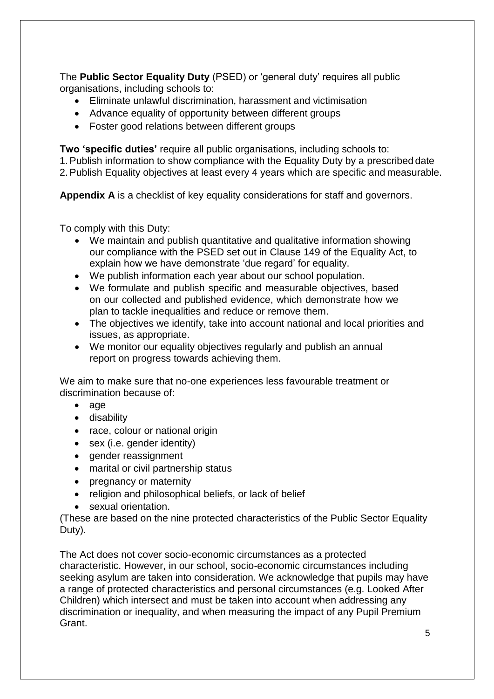The **Public Sector Equality Duty** (PSED) or 'general duty' requires all public organisations, including schools to:

- Eliminate unlawful discrimination, harassment and victimisation
- Advance equality of opportunity between different groups
- Foster good relations between different groups

**Two 'specific duties'** require all public organisations, including schools to: 1.Publish information to show compliance with the Equality Duty by a prescribed date 2.Publish Equality objectives at least every 4 years which are specific and measurable.

**Appendix A** is a checklist of key equality considerations for staff and governors.

To comply with this Duty:

- We maintain and publish quantitative and qualitative information showing our compliance with the PSED set out in Clause 149 of the Equality Act, to explain how we have demonstrate 'due regard' for equality.
- We publish information each year about our school population.
- We formulate and publish specific and measurable objectives, based on our collected and published evidence, which demonstrate how we plan to tackle inequalities and reduce or remove them.
- The objectives we identify, take into account national and local priorities and issues, as appropriate.
- We monitor our equality objectives regularly and publish an annual report on progress towards achieving them.

We aim to make sure that no-one experiences less favourable treatment or discrimination because of:

- $\bullet$  age
- disability
- race, colour or national origin
- sex (i.e. gender identity)
- gender reassignment
- marital or civil partnership status
- pregnancy or maternity
- religion and philosophical beliefs, or lack of belief
- sexual orientation.

(These are based on the nine protected characteristics of the Public Sector Equality Duty).

The Act does not cover socio-economic circumstances as a protected characteristic. However, in our school, socio-economic circumstances including seeking asylum are taken into consideration. We acknowledge that pupils may have a range of protected characteristics and personal circumstances (e.g. Looked After Children) which intersect and must be taken into account when addressing any discrimination or inequality, and when measuring the impact of any Pupil Premium Grant.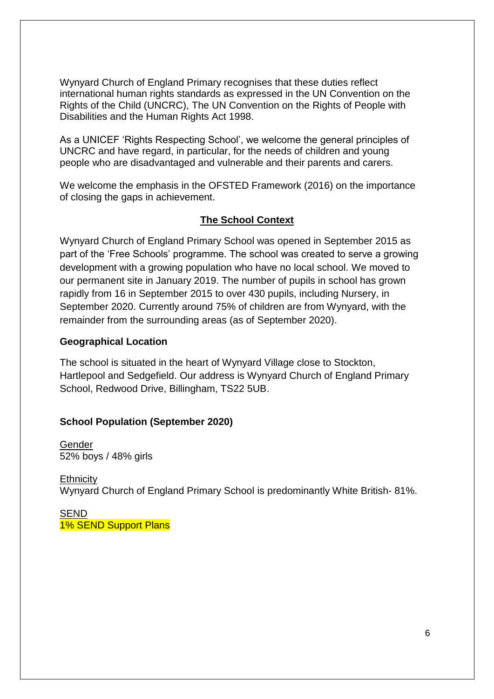Wynyard Church of England Primary recognises that these duties reflect international human rights standards as expressed in the UN Convention on the Rights of the Child (UNCRC), The UN Convention on the Rights of People with Disabilities and the Human Rights Act 1998.

As a UNICEF 'Rights Respecting School', we welcome the general principles of UNCRC and have regard, in particular, for the needs of children and young people who are disadvantaged and vulnerable and their parents and carers.

We welcome the emphasis in the OFSTED Framework (2016) on the importance of closing the gaps in achievement.

#### **The School Context**

Wynyard Church of England Primary School was opened in September 2015 as part of the 'Free Schools' programme. The school was created to serve a growing development with a growing population who have no local school. We moved to our permanent site in January 2019. The number of pupils in school has grown rapidly from 16 in September 2015 to over 430 pupils, including Nursery, in September 2020. Currently around 75% of children are from Wynyard, with the remainder from the surrounding areas (as of September 2020).

#### **Geographical Location**

The school is situated in the heart of Wynyard Village close to Stockton, Hartlepool and Sedgefield. Our address is Wynyard Church of England Primary School, Redwood Drive, Billingham, TS22 5UB.

#### **School Population (September 2020)**

Gender 52% boys / 48% girls

**Ethnicity** Wynyard Church of England Primary School is predominantly White British- 81%.

SEND 1% SEND Support Plans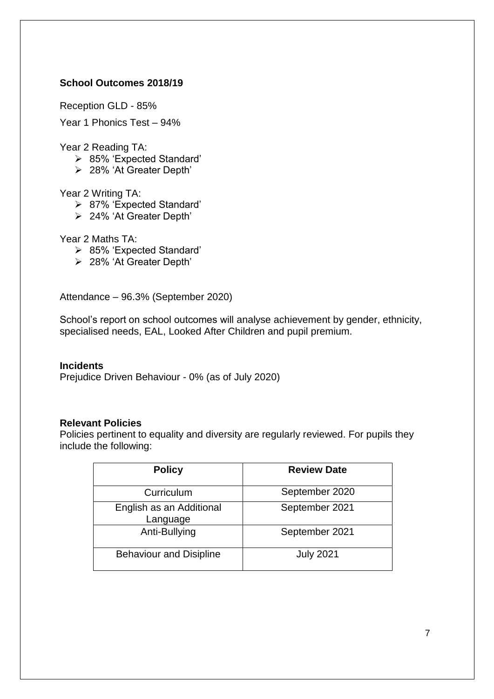## **School Outcomes 2018/19**

Reception GLD - 85%

Year 1 Phonics Test – 94%

Year 2 Reading TA:

- 85% 'Expected Standard'
- 28% 'At Greater Depth'

#### Year 2 Writing TA:

- 87% 'Expected Standard'
- 24% 'At Greater Depth'

Year 2 Maths TA:

- 85% 'Expected Standard'
- 28% 'At Greater Depth'

Attendance – 96.3% (September 2020)

School's report on school outcomes will analyse achievement by gender, ethnicity, specialised needs, EAL, Looked After Children and pupil premium.

#### **Incidents**

Prejudice Driven Behaviour - 0% (as of July 2020)

#### **Relevant Policies**

Policies pertinent to equality and diversity are regularly reviewed. For pupils they include the following:

| <b>Policy</b>                        | <b>Review Date</b> |
|--------------------------------------|--------------------|
| Curriculum                           | September 2020     |
| English as an Additional<br>Language | September 2021     |
| Anti-Bullying                        | September 2021     |
| <b>Behaviour and Disipline</b>       | <b>July 2021</b>   |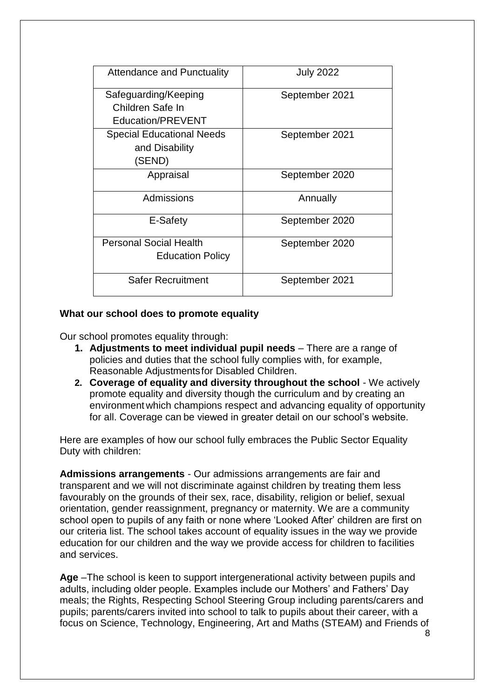| <b>Attendance and Punctuality</b> | <b>July 2022</b> |
|-----------------------------------|------------------|
| Safeguarding/Keeping              | September 2021   |
| Children Safe In                  |                  |
| Education/PREVENT                 |                  |
| <b>Special Educational Needs</b>  | September 2021   |
| and Disability                    |                  |
| (SEND)                            |                  |
| Appraisal                         | September 2020   |
| Admissions                        | Annually         |
| E-Safety                          | September 2020   |
| <b>Personal Social Health</b>     | September 2020   |
| <b>Education Policy</b>           |                  |
| <b>Safer Recruitment</b>          | September 2021   |

#### **What our school does to promote equality**

Our school promotes equality through:

- **1. Adjustments to meet individual pupil needs** There are a range of policies and duties that the school fully complies with, for example, Reasonable Adjustmentsfor Disabled Children.
- **2. Coverage of equality and diversity throughout the school**  We actively promote equality and diversity though the curriculum and by creating an environment which champions respect and advancing equality of opportunity for all. Coverage can be viewed in greater detail on our school's website.

Here are examples of how our school fully embraces the Public Sector Equality Duty with children:

**Admissions arrangements** - Our admissions arrangements are fair and transparent and we will not discriminate against children by treating them less favourably on the grounds of their sex, race, disability, religion or belief, sexual orientation, gender reassignment, pregnancy or maternity. We are a community school open to pupils of any faith or none where 'Looked After' children are first on our criteria list. The school takes account of equality issues in the way we provide education for our children and the way we provide access for children to facilities and services.

**Age** –The school is keen to support intergenerational activity between pupils and adults, including older people. Examples include our Mothers' and Fathers' Day meals; the Rights, Respecting School Steering Group including parents/carers and pupils; parents/carers invited into school to talk to pupils about their career, with a focus on Science, Technology, Engineering, Art and Maths (STEAM) and Friends of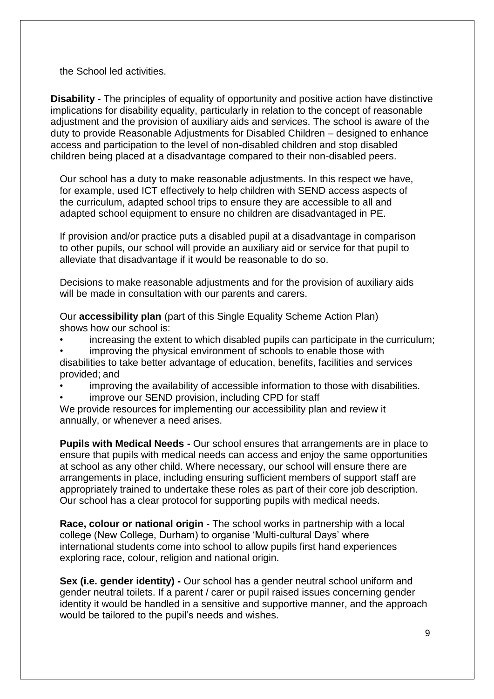the School led activities.

**Disability -** The principles of equality of opportunity and positive action have distinctive implications for disability equality, particularly in relation to the concept of reasonable adjustment and the provision of auxiliary aids and services. The school is aware of the duty to provide Reasonable Adjustments for Disabled Children – designed to enhance access and participation to the level of non-disabled children and stop disabled children being placed at a disadvantage compared to their non-disabled peers.

Our school has a duty to make reasonable adjustments. In this respect we have, for example, used ICT effectively to help children with SEND access aspects of the curriculum, adapted school trips to ensure they are accessible to all and adapted school equipment to ensure no children are disadvantaged in PE.

If provision and/or practice puts a disabled pupil at a disadvantage in comparison to other pupils, our school will provide an auxiliary aid or service for that pupil to alleviate that disadvantage if it would be reasonable to do so.

Decisions to make reasonable adjustments and for the provision of auxiliary aids will be made in consultation with our parents and carers.

Our **accessibility plan** (part of this Single Equality Scheme Action Plan) shows how our school is:

- increasing the extent to which disabled pupils can participate in the curriculum;
- improving the physical environment of schools to enable those with disabilities to take better advantage of education, benefits, facilities and services provided; and
- improving the availability of accessible information to those with disabilities.
- improve our SEND provision, including CPD for staff

We provide resources for implementing our accessibility plan and review it annually, or whenever a need arises.

**Pupils with Medical Needs -** Our school ensures that arrangements are in place to ensure that pupils with medical needs can access and enjoy the same opportunities at school as any other child. Where necessary, our school will ensure there are arrangements in place, including ensuring sufficient members of support staff are appropriately trained to undertake these roles as part of their core job description. Our school has a clear protocol for supporting pupils with medical needs.

**Race, colour or national origin** - The school works in partnership with a local college (New College, Durham) to organise 'Multi-cultural Days' where international students come into school to allow pupils first hand experiences exploring race, colour, religion and national origin.

**Sex (i.e. gender identity) -** Our school has a gender neutral school uniform and gender neutral toilets. If a parent / carer or pupil raised issues concerning gender identity it would be handled in a sensitive and supportive manner, and the approach would be tailored to the pupil's needs and wishes.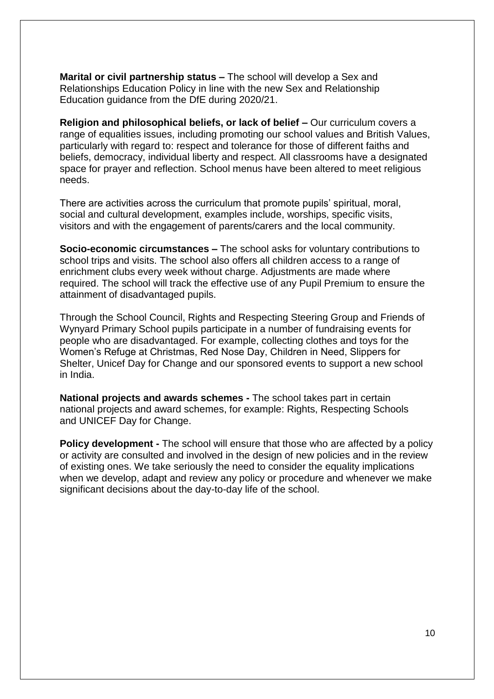**Marital or civil partnership status –** The school will develop a Sex and Relationships Education Policy in line with the new Sex and Relationship Education guidance from the DfE during 2020/21.

**Religion and philosophical beliefs, or lack of belief –** Our curriculum covers a range of equalities issues, including promoting our school values and British Values, particularly with regard to: respect and tolerance for those of different faiths and beliefs, democracy, individual liberty and respect. All classrooms have a designated space for prayer and reflection. School menus have been altered to meet religious needs.

There are activities across the curriculum that promote pupils' spiritual, moral, social and cultural development, examples include, worships, specific visits, visitors and with the engagement of parents/carers and the local community.

**Socio-economic circumstances –** The school asks for voluntary contributions to school trips and visits. The school also offers all children access to a range of enrichment clubs every week without charge. Adjustments are made where required. The school will track the effective use of any Pupil Premium to ensure the attainment of disadvantaged pupils.

Through the School Council, Rights and Respecting Steering Group and Friends of Wynyard Primary School pupils participate in a number of fundraising events for people who are disadvantaged. For example, collecting clothes and toys for the Women's Refuge at Christmas, Red Nose Day, Children in Need, Slippers for Shelter, Unicef Day for Change and our sponsored events to support a new school in India.

**National projects and awards schemes -** The school takes part in certain national projects and award schemes, for example: Rights, Respecting Schools and UNICEF Day for Change.

**Policy development -** The school will ensure that those who are affected by a policy or activity are consulted and involved in the design of new policies and in the review of existing ones. We take seriously the need to consider the equality implications when we develop, adapt and review any policy or procedure and whenever we make significant decisions about the day-to-day life of the school.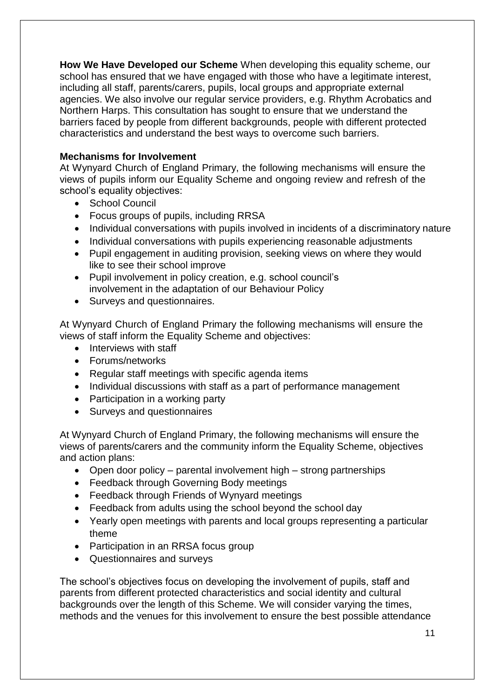**How We Have Developed our Scheme** When developing this equality scheme, our school has ensured that we have engaged with those who have a legitimate interest, including all staff, parents/carers, pupils, local groups and appropriate external agencies. We also involve our regular service providers, e.g. Rhythm Acrobatics and Northern Harps. This consultation has sought to ensure that we understand the barriers faced by people from different backgrounds, people with different protected characteristics and understand the best ways to overcome such barriers.

## **Mechanisms for Involvement**

At Wynyard Church of England Primary, the following mechanisms will ensure the views of pupils inform our Equality Scheme and ongoing review and refresh of the school's equality objectives:

- School Council
- Focus groups of pupils, including RRSA
- Individual conversations with pupils involved in incidents of a discriminatory nature
- Individual conversations with pupils experiencing reasonable adjustments
- Pupil engagement in auditing provision, seeking views on where they would like to see their school improve
- Pupil involvement in policy creation, e.g. school council's involvement in the adaptation of our Behaviour Policy
- Surveys and questionnaires.

At Wynyard Church of England Primary the following mechanisms will ensure the views of staff inform the Equality Scheme and objectives:

- Interviews with staff
- Forums/networks
- Regular staff meetings with specific agenda items
- Individual discussions with staff as a part of performance management
- Participation in a working party
- Surveys and questionnaires

At Wynyard Church of England Primary, the following mechanisms will ensure the views of parents/carers and the community inform the Equality Scheme, objectives and action plans:

- Open door policy parental involvement high strong partnerships
- Feedback through Governing Body meetings
- Feedback through Friends of Wynyard meetings
- Feedback from adults using the school beyond the school day
- Yearly open meetings with parents and local groups representing a particular theme
- Participation in an RRSA focus group
- Questionnaires and surveys

The school's objectives focus on developing the involvement of pupils, staff and parents from different protected characteristics and social identity and cultural backgrounds over the length of this Scheme. We will consider varying the times, methods and the venues for this involvement to ensure the best possible attendance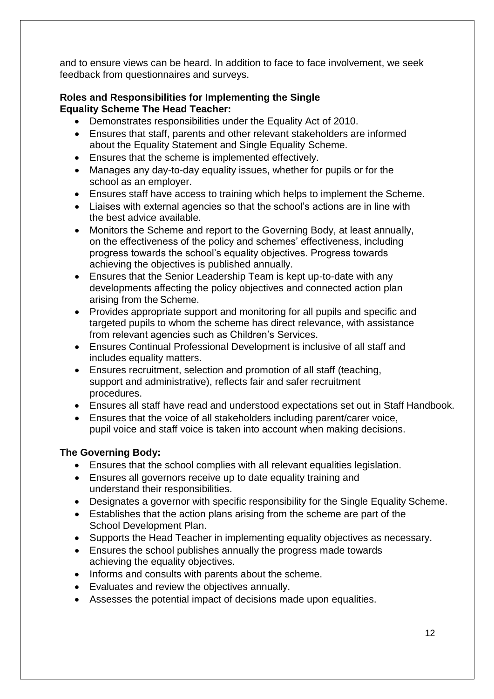and to ensure views can be heard. In addition to face to face involvement, we seek feedback from questionnaires and surveys.

## **Roles and Responsibilities for Implementing the Single Equality Scheme The Head Teacher:**

- Demonstrates responsibilities under the Equality Act of 2010.
- Ensures that staff, parents and other relevant stakeholders are informed about the Equality Statement and Single Equality Scheme.
- Ensures that the scheme is implemented effectively.
- Manages any day-to-day equality issues, whether for pupils or for the school as an employer.
- Ensures staff have access to training which helps to implement the Scheme.
- Liaises with external agencies so that the school's actions are in line with the best advice available.
- Monitors the Scheme and report to the Governing Body, at least annually, on the effectiveness of the policy and schemes' effectiveness, including progress towards the school's equality objectives. Progress towards achieving the objectives is published annually.
- Ensures that the Senior Leadership Team is kept up-to-date with any developments affecting the policy objectives and connected action plan arising from the Scheme.
- Provides appropriate support and monitoring for all pupils and specific and targeted pupils to whom the scheme has direct relevance, with assistance from relevant agencies such as Children's Services.
- Ensures Continual Professional Development is inclusive of all staff and includes equality matters.
- Ensures recruitment, selection and promotion of all staff (teaching, support and administrative), reflects fair and safer recruitment procedures.
- Ensures all staff have read and understood expectations set out in Staff Handbook.
- Ensures that the voice of all stakeholders including parent/carer voice, pupil voice and staff voice is taken into account when making decisions.

# **The Governing Body:**

- Ensures that the school complies with all relevant equalities legislation.
- Ensures all governors receive up to date equality training and understand their responsibilities.
- Designates a governor with specific responsibility for the Single Equality Scheme.
- Establishes that the action plans arising from the scheme are part of the School Development Plan.
- Supports the Head Teacher in implementing equality objectives as necessary.
- Ensures the school publishes annually the progress made towards achieving the equality objectives.
- Informs and consults with parents about the scheme.
- Evaluates and review the objectives annually.
- Assesses the potential impact of decisions made upon equalities.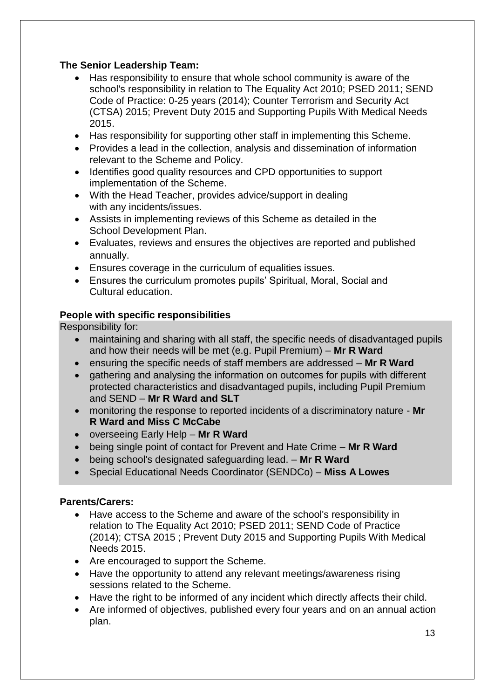# **The Senior Leadership Team:**

- Has responsibility to ensure that whole school community is aware of the school's responsibility in relation to The Equality Act 2010; PSED 2011; SEND Code of Practice: 0-25 years (2014); Counter Terrorism and Security Act (CTSA) 2015; Prevent Duty 2015 and Supporting Pupils With Medical Needs 2015.
- Has responsibility for supporting other staff in implementing this Scheme.
- Provides a lead in the collection, analysis and dissemination of information relevant to the Scheme and Policy.
- Identifies good quality resources and CPD opportunities to support implementation of the Scheme.
- With the Head Teacher, provides advice/support in dealing with any incidents/issues.
- Assists in implementing reviews of this Scheme as detailed in the School Development Plan.
- Evaluates, reviews and ensures the objectives are reported and published annually.
- Ensures coverage in the curriculum of equalities issues.
- Ensures the curriculum promotes pupils' Spiritual, Moral, Social and Cultural education.

## **People with specific responsibilities**

Responsibility for:

- maintaining and sharing with all staff, the specific needs of disadvantaged pupils and how their needs will be met (e.g. Pupil Premium) – **Mr R Ward**
- ensuring the specific needs of staff members are addressed **Mr R Ward**
- gathering and analysing the information on outcomes for pupils with different protected characteristics and disadvantaged pupils, including Pupil Premium and SEND – **Mr R Ward and SLT**
- monitoring the response to reported incidents of a discriminatory nature **Mr R Ward and Miss C McCabe**
- overseeing Early Help **Mr R Ward**
- being single point of contact for Prevent and Hate Crime **Mr R Ward**
- being school's designated safeguarding lead. **Mr R Ward**
- Special Educational Needs Coordinator (SENDCo) **Miss A Lowes**

# **Parents/Carers:**

- Have access to the Scheme and aware of the school's responsibility in relation to The Equality Act 2010; PSED 2011; SEND Code of Practice (2014); CTSA 2015 ; Prevent Duty 2015 and Supporting Pupils With Medical Needs 2015.
- Are encouraged to support the Scheme.
- Have the opportunity to attend any relevant meetings/awareness rising sessions related to the Scheme.
- Have the right to be informed of any incident which directly affects their child.
- Are informed of objectives, published every four years and on an annual action plan.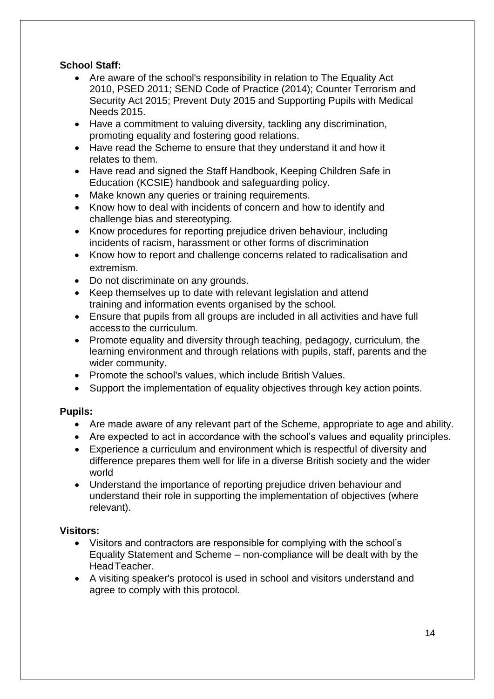# **School Staff:**

- Are aware of the school's responsibility in relation to The Equality Act 2010, PSED 2011; SEND Code of Practice (2014); Counter Terrorism and Security Act 2015; Prevent Duty 2015 and Supporting Pupils with Medical Needs 2015.
- Have a commitment to valuing diversity, tackling any discrimination, promoting equality and fostering good relations.
- Have read the Scheme to ensure that they understand it and how it relates to them.
- Have read and signed the Staff Handbook, Keeping Children Safe in Education (KCSIE) handbook and safeguarding policy.
- Make known any queries or training requirements.
- Know how to deal with incidents of concern and how to identify and challenge bias and stereotyping.
- Know procedures for reporting prejudice driven behaviour, including incidents of racism, harassment or other forms of discrimination
- Know how to report and challenge concerns related to radicalisation and extremism.
- Do not discriminate on any grounds.
- Keep themselves up to date with relevant legislation and attend training and information events organised by the school.
- Ensure that pupils from all groups are included in all activities and have full access to the curriculum.
- Promote equality and diversity through teaching, pedagogy, curriculum, the learning environment and through relations with pupils, staff, parents and the wider community.
- Promote the school's values, which include British Values.
- Support the implementation of equality objectives through key action points.

# **Pupils:**

- Are made aware of any relevant part of the Scheme, appropriate to age and ability.
- Are expected to act in accordance with the school's values and equality principles.
- Experience a curriculum and environment which is respectful of diversity and difference prepares them well for life in a diverse British society and the wider world
- Understand the importance of reporting prejudice driven behaviour and understand their role in supporting the implementation of objectives (where relevant).

# **Visitors:**

- Visitors and contractors are responsible for complying with the school's Equality Statement and Scheme – non-compliance will be dealt with by the HeadTeacher.
- A visiting speaker's protocol is used in school and visitors understand and agree to comply with this protocol.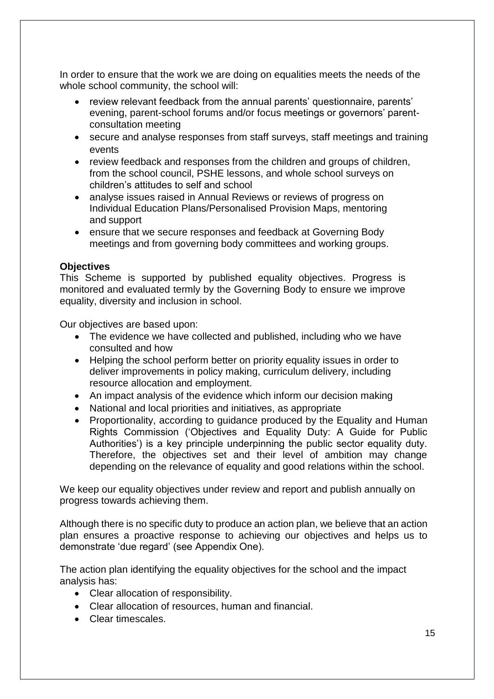In order to ensure that the work we are doing on equalities meets the needs of the whole school community, the school will:

- review relevant feedback from the annual parents' questionnaire, parents' evening, parent-school forums and/or focus meetings or governors' parentconsultation meeting
- secure and analyse responses from staff surveys, staff meetings and training events
- review feedback and responses from the children and groups of children, from the school council, PSHE lessons, and whole school surveys on children's attitudes to self and school
- analyse issues raised in Annual Reviews or reviews of progress on Individual Education Plans/Personalised Provision Maps, mentoring and support
- ensure that we secure responses and feedback at Governing Body meetings and from governing body committees and working groups.

## **Objectives**

This Scheme is supported by published equality objectives. Progress is monitored and evaluated termly by the Governing Body to ensure we improve equality, diversity and inclusion in school.

Our objectives are based upon:

- The evidence we have collected and published, including who we have consulted and how
- Helping the school perform better on priority equality issues in order to deliver improvements in policy making, curriculum delivery, including resource allocation and employment.
- An impact analysis of the evidence which inform our decision making
- National and local priorities and initiatives, as appropriate
- Proportionality, according to guidance produced by the Equality and Human Rights Commission ('Objectives and Equality Duty: A Guide for Public Authorities') is a key principle underpinning the public sector equality duty. Therefore, the objectives set and their level of ambition may change depending on the relevance of equality and good relations within the school.

We keep our equality objectives under review and report and publish annually on progress towards achieving them.

Although there is no specific duty to produce an action plan, we believe that an action plan ensures a proactive response to achieving our objectives and helps us to demonstrate 'due regard' (see Appendix One).

The action plan identifying the equality objectives for the school and the impact analysis has:

- Clear allocation of responsibility.
- Clear allocation of resources, human and financial.
- Clear timescales.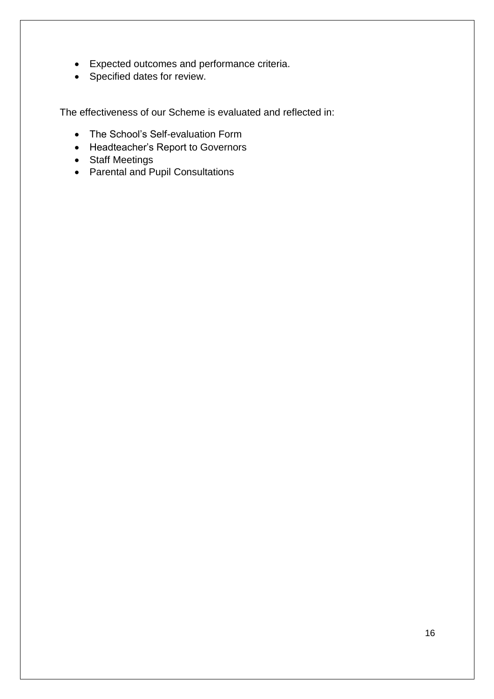- Expected outcomes and performance criteria.
- Specified dates for review.

The effectiveness of our Scheme is evaluated and reflected in:

- The School's Self-evaluation Form
- Headteacher's Report to Governors
- Staff Meetings
- Parental and Pupil Consultations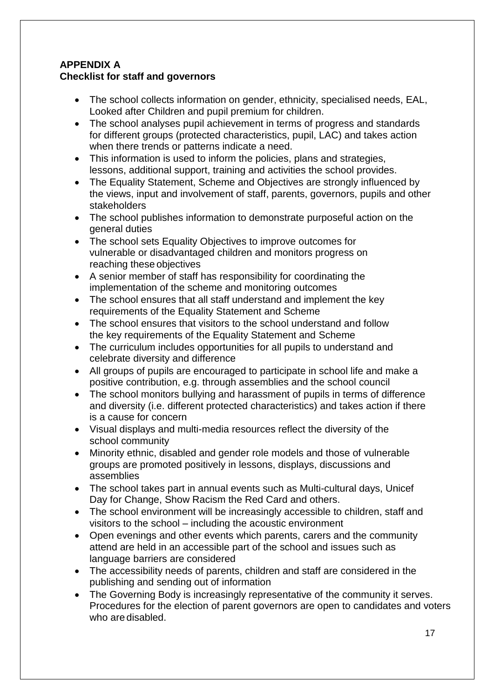# **APPENDIX A Checklist for staff and governors**

- The school collects information on gender, ethnicity, specialised needs, EAL, Looked after Children and pupil premium for children.
- The school analyses pupil achievement in terms of progress and standards for different groups (protected characteristics, pupil, LAC) and takes action when there trends or patterns indicate a need.
- This information is used to inform the policies, plans and strategies, lessons, additional support, training and activities the school provides.
- The Equality Statement, Scheme and Objectives are strongly influenced by the views, input and involvement of staff, parents, governors, pupils and other stakeholders
- The school publishes information to demonstrate purposeful action on the general duties
- The school sets Equality Objectives to improve outcomes for vulnerable or disadvantaged children and monitors progress on reaching these objectives
- A senior member of staff has responsibility for coordinating the implementation of the scheme and monitoring outcomes
- The school ensures that all staff understand and implement the key requirements of the Equality Statement and Scheme
- The school ensures that visitors to the school understand and follow the key requirements of the Equality Statement and Scheme
- The curriculum includes opportunities for all pupils to understand and celebrate diversity and difference
- All groups of pupils are encouraged to participate in school life and make a positive contribution, e.g. through assemblies and the school council
- The school monitors bullying and harassment of pupils in terms of difference and diversity (i.e. different protected characteristics) and takes action if there is a cause for concern
- Visual displays and multi-media resources reflect the diversity of the school community
- Minority ethnic, disabled and gender role models and those of vulnerable groups are promoted positively in lessons, displays, discussions and assemblies
- The school takes part in annual events such as Multi-cultural days, Unicef Day for Change, Show Racism the Red Card and others.
- The school environment will be increasingly accessible to children, staff and visitors to the school – including the acoustic environment
- Open evenings and other events which parents, carers and the community attend are held in an accessible part of the school and issues such as language barriers are considered
- The accessibility needs of parents, children and staff are considered in the publishing and sending out of information
- The Governing Body is increasingly representative of the community it serves. Procedures for the election of parent governors are open to candidates and voters who are disabled.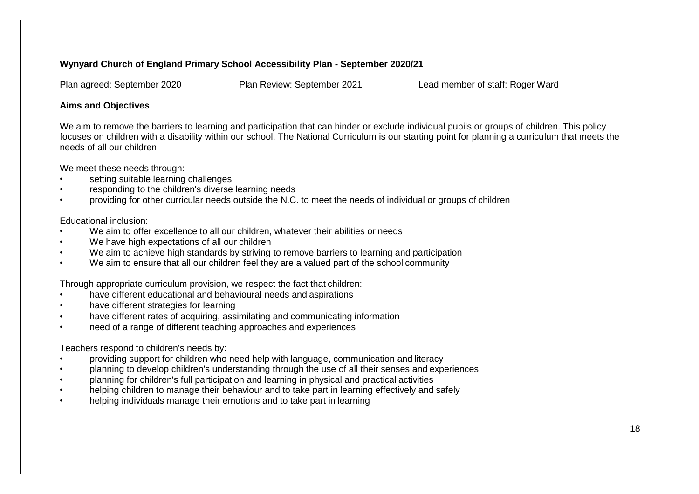#### **Wynyard Church of England Primary School Accessibility Plan - September 2020/21**

Plan agreed: September 2020 Plan Review: September 2021 Lead member of staff: Roger Ward

#### **Aims and Objectives**

We aim to remove the barriers to learning and participation that can hinder or exclude individual pupils or groups of children. This policy focuses on children with a disability within our school. The National Curriculum is our starting point for planning a curriculum that meets the needs of all our children.

We meet these needs through:

- setting suitable learning challenges
- responding to the children's diverse learning needs
- providing for other curricular needs outside the N.C. to meet the needs of individual or groups of children

#### Educational inclusion:

- We aim to offer excellence to all our children, whatever their abilities or needs
- We have high expectations of all our children
- We aim to achieve high standards by striving to remove barriers to learning and participation
- We aim to ensure that all our children feel they are a valued part of the school community

Through appropriate curriculum provision, we respect the fact that children:

- have different educational and behavioural needs and aspirations
- have different strategies for learning
- have different rates of acquiring, assimilating and communicating information
- need of a range of different teaching approaches and experiences

Teachers respond to children's needs by:

- providing support for children who need help with language, communication and literacy
- planning to develop children's understanding through the use of all their senses and experiences
- planning for children's full participation and learning in physical and practical activities
- helping children to manage their behaviour and to take part in learning effectively and safely
- helping individuals manage their emotions and to take part in learning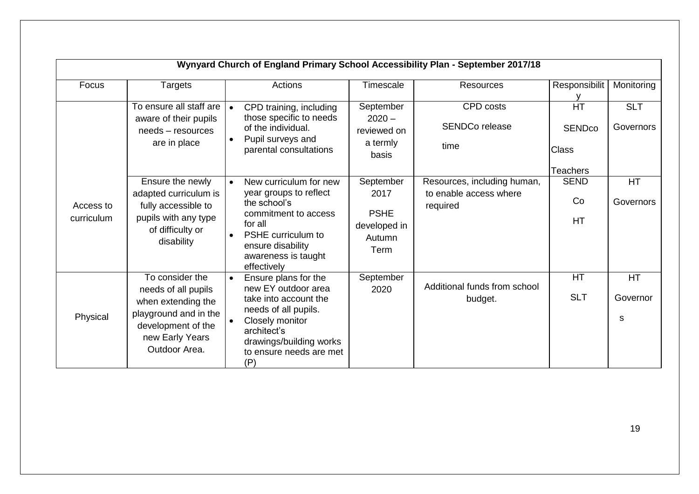|                         |                                                                                                                                                 | Wynyard Church of England Primary School Accessibility Plan - September 2017/18                                                                                                             |                                                                    |                                                                   |                                                        |                         |
|-------------------------|-------------------------------------------------------------------------------------------------------------------------------------------------|---------------------------------------------------------------------------------------------------------------------------------------------------------------------------------------------|--------------------------------------------------------------------|-------------------------------------------------------------------|--------------------------------------------------------|-------------------------|
| Focus                   | <b>Targets</b>                                                                                                                                  | Actions                                                                                                                                                                                     | Timescale                                                          | <b>Resources</b>                                                  | Responsibilit                                          | Monitoring              |
|                         | To ensure all staff are<br>aware of their pupils<br>needs - resources<br>are in place                                                           | CPD training, including<br>those specific to needs<br>of the individual.<br>Pupil surveys and<br>parental consultations                                                                     | September<br>$2020 -$<br>reviewed on<br>a termly<br>basis          | CPD costs<br><b>SENDCo release</b><br>time                        | <b>HT</b><br>SENDco<br><b>Class</b><br><b>Teachers</b> | <b>SLT</b><br>Governors |
| Access to<br>curriculum | Ensure the newly<br>adapted curriculum is<br>fully accessible to<br>pupils with any type<br>of difficulty or<br>disability                      | New curriculum for new<br>year groups to reflect<br>the school's<br>commitment to access<br>for all<br>PSHE curriculum to<br>ensure disability<br>awareness is taught<br>effectively        | September<br>2017<br><b>PSHE</b><br>developed in<br>Autumn<br>Term | Resources, including human,<br>to enable access where<br>required | <b>SEND</b><br>Co<br><b>HT</b>                         | <b>HT</b><br>Governors  |
| Physical                | To consider the<br>needs of all pupils<br>when extending the<br>playground and in the<br>development of the<br>new Early Years<br>Outdoor Area. | Ensure plans for the<br>new EY outdoor area<br>take into account the<br>needs of all pupils.<br>Closely monitor<br>architect's<br>drawings/building works<br>to ensure needs are met<br>(P) | September<br>2020                                                  | Additional funds from school<br>budget.                           | HT<br><b>SLT</b>                                       | HT.<br>Governor<br>S    |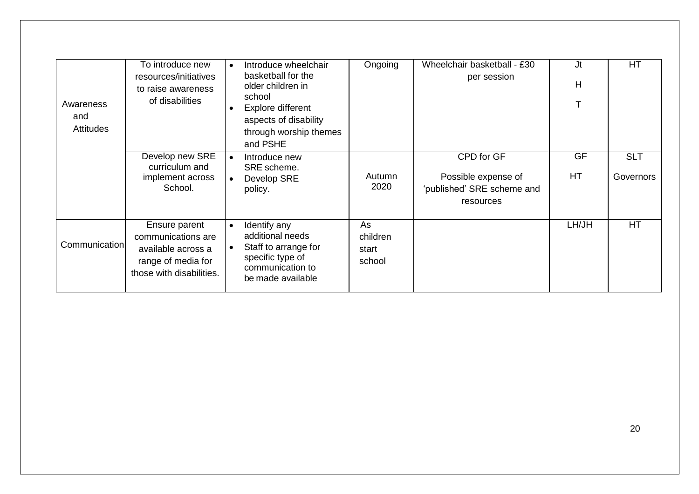| Awareness<br>and<br><b>Attitudes</b> | To introduce new<br>resources/initiatives<br>to raise awareness<br>of disabilities                          | Introduce wheelchair<br>basketball for the<br>older children in<br>school<br>Explore different<br>aspects of disability<br>through worship themes<br>and PSHE | Ongoing                           | Wheelchair basketball - £30<br>per session                                   | Jt<br>H  | HT                      |
|--------------------------------------|-------------------------------------------------------------------------------------------------------------|---------------------------------------------------------------------------------------------------------------------------------------------------------------|-----------------------------------|------------------------------------------------------------------------------|----------|-------------------------|
|                                      | Develop new SRE<br>curriculum and<br>implement across<br>School.                                            | Introduce new<br>SRE scheme.<br>Develop SRE<br>policy.                                                                                                        | Autumn<br>2020                    | CPD for GF<br>Possible expense of<br>'published' SRE scheme and<br>resources | GF<br>HT | <b>SLT</b><br>Governors |
| Communication                        | Ensure parent<br>communications are<br>available across a<br>range of media for<br>those with disabilities. | Identify any<br>additional needs<br>Staff to arrange for<br>specific type of<br>communication to<br>be made available                                         | As<br>children<br>start<br>school |                                                                              | LH/JH    | <b>HT</b>               |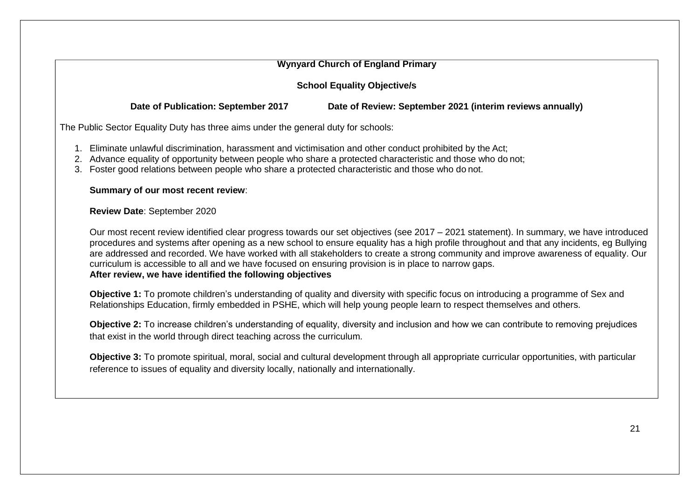| <b>Wynyard Church of England Primary</b>                                                                                                                                                                                                                                                                                             |                                                                                                                                                                                                                                                                                                                                                                                                                              |  |  |  |  |
|--------------------------------------------------------------------------------------------------------------------------------------------------------------------------------------------------------------------------------------------------------------------------------------------------------------------------------------|------------------------------------------------------------------------------------------------------------------------------------------------------------------------------------------------------------------------------------------------------------------------------------------------------------------------------------------------------------------------------------------------------------------------------|--|--|--|--|
|                                                                                                                                                                                                                                                                                                                                      | <b>School Equality Objective/s</b>                                                                                                                                                                                                                                                                                                                                                                                           |  |  |  |  |
| Date of Publication: September 2017                                                                                                                                                                                                                                                                                                  | Date of Review: September 2021 (interim reviews annually)                                                                                                                                                                                                                                                                                                                                                                    |  |  |  |  |
| The Public Sector Equality Duty has three aims under the general duty for schools:                                                                                                                                                                                                                                                   |                                                                                                                                                                                                                                                                                                                                                                                                                              |  |  |  |  |
| 1. Eliminate unlawful discrimination, harassment and victimisation and other conduct prohibited by the Act;<br>2. Advance equality of opportunity between people who share a protected characteristic and those who do not;<br>Foster good relations between people who share a protected characteristic and those who do not.<br>3. |                                                                                                                                                                                                                                                                                                                                                                                                                              |  |  |  |  |
| Summary of our most recent review:                                                                                                                                                                                                                                                                                                   |                                                                                                                                                                                                                                                                                                                                                                                                                              |  |  |  |  |
| Review Date: September 2020                                                                                                                                                                                                                                                                                                          |                                                                                                                                                                                                                                                                                                                                                                                                                              |  |  |  |  |
| curriculum is accessible to all and we have focused on ensuring provision is in place to narrow gaps.<br>After review, we have identified the following objectives                                                                                                                                                                   | Our most recent review identified clear progress towards our set objectives (see 2017 - 2021 statement). In summary, we have introduced<br>procedures and systems after opening as a new school to ensure equality has a high profile throughout and that any incidents, eg Bullying<br>are addressed and recorded. We have worked with all stakeholders to create a strong community and improve awareness of equality. Our |  |  |  |  |
|                                                                                                                                                                                                                                                                                                                                      | Objective 1: To promote children's understanding of quality and diversity with specific focus on introducing a programme of Sex and<br>Relationships Education, firmly embedded in PSHE, which will help young people learn to respect themselves and others.                                                                                                                                                                |  |  |  |  |
| that exist in the world through direct teaching across the curriculum.                                                                                                                                                                                                                                                               | Objective 2: To increase children's understanding of equality, diversity and inclusion and how we can contribute to removing prejudices                                                                                                                                                                                                                                                                                      |  |  |  |  |
| reference to issues of equality and diversity locally, nationally and internationally.                                                                                                                                                                                                                                               | Objective 3: To promote spiritual, moral, social and cultural development through all appropriate curricular opportunities, with particular                                                                                                                                                                                                                                                                                  |  |  |  |  |
|                                                                                                                                                                                                                                                                                                                                      |                                                                                                                                                                                                                                                                                                                                                                                                                              |  |  |  |  |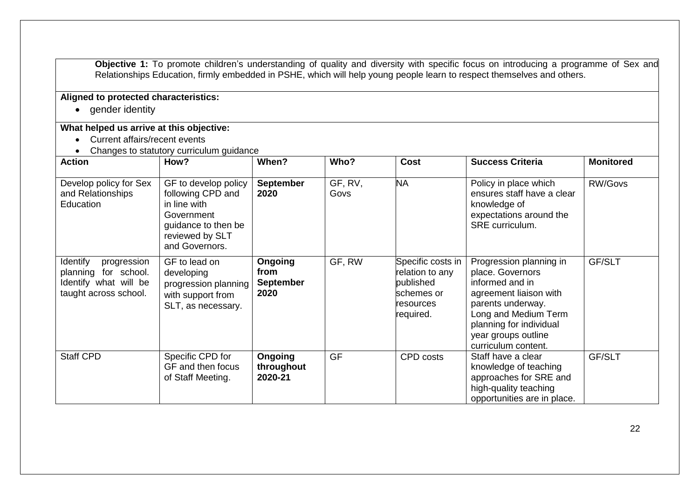**Objective 1:** To promote children's understanding of quality and diversity with specific focus on introducing a programme of Sex and Relationships Education, firmly embedded in PSHE, which will help young people learn to respect themselves and others.

## **Aligned to protected characteristics:**

• gender identity

#### **What helped us arrive at this objective:**

- Current affairs/recent events
- Changes to statutory curriculum quidance

| <b>Action</b>                                                                                     | How?                                                                                                                                | When?                                              | Who?            | <b>Cost</b>                                                                               | <b>Success Criteria</b>                                                                                                                                                                                        | <b>Monitored</b> |
|---------------------------------------------------------------------------------------------------|-------------------------------------------------------------------------------------------------------------------------------------|----------------------------------------------------|-----------------|-------------------------------------------------------------------------------------------|----------------------------------------------------------------------------------------------------------------------------------------------------------------------------------------------------------------|------------------|
| Develop policy for Sex<br>and Relationships<br>Education                                          | GF to develop policy<br>following CPD and<br>in line with<br>Government<br>guidance to then be<br>reviewed by SLT<br>and Governors. | <b>September</b><br>2020                           | GF, RV,<br>Govs | <b>NA</b>                                                                                 | Policy in place which<br>ensures staff have a clear<br>knowledge of<br>expectations around the<br>SRE curriculum.                                                                                              | RW/Govs          |
| Identify<br>progression<br>planning for school.<br>Identify what will be<br>taught across school. | GF to lead on<br>developing<br>progression planning<br>with support from<br>SLT, as necessary.                                      | <b>Ongoing</b><br>from<br><b>September</b><br>2020 | GF, RW          | Specific costs in<br>relation to any<br>published<br>schemes or<br>resources<br>required. | Progression planning in<br>place. Governors<br>informed and in<br>agreement liaison with<br>parents underway.<br>Long and Medium Term<br>planning for individual<br>year groups outline<br>curriculum content. | GF/SLT           |
| <b>Staff CPD</b>                                                                                  | Specific CPD for<br>GF and then focus<br>of Staff Meeting.                                                                          | Ongoing<br>throughout<br>2020-21                   | <b>GF</b>       | CPD costs                                                                                 | Staff have a clear<br>knowledge of teaching<br>approaches for SRE and<br>high-quality teaching<br>opportunities are in place.                                                                                  | GF/SLT           |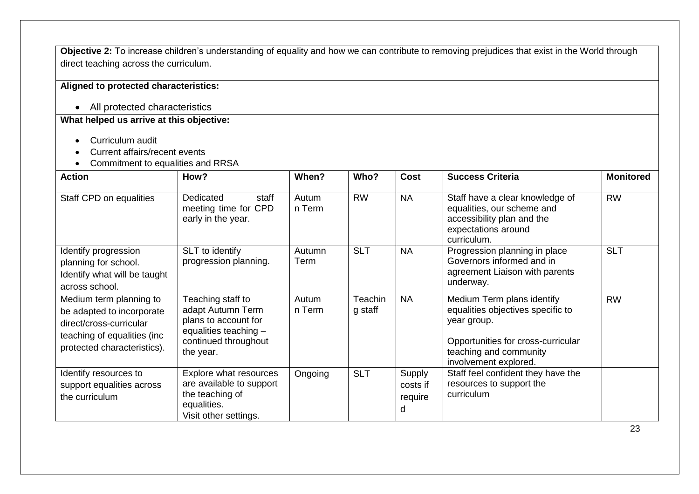**Objective 2:** To increase children's understanding of equality and how we can contribute to removing prejudices that exist in the World through direct teaching across the curriculum.

#### **Aligned to protected characteristics:**

• All protected characteristics

## **What helped us arrive at this objective:**

- Curriculum audit
- Current affairs/recent events
- Commitment to equalities and RRSA

| <b>Action</b>                                                                                                                                  | How?                                                                                                                         | When?           | Who?               | <b>Cost</b>                        | <b>Success Criteria</b>                                                                                                                                                 | <b>Monitored</b> |
|------------------------------------------------------------------------------------------------------------------------------------------------|------------------------------------------------------------------------------------------------------------------------------|-----------------|--------------------|------------------------------------|-------------------------------------------------------------------------------------------------------------------------------------------------------------------------|------------------|
| Staff CPD on equalities                                                                                                                        | Dedicated<br>staff<br>meeting time for CPD<br>early in the year.                                                             | Autum<br>n Term | <b>RW</b>          | <b>NA</b>                          | Staff have a clear knowledge of<br>equalities, our scheme and<br>accessibility plan and the<br>expectations around<br>curriculum.                                       | <b>RW</b>        |
| Identify progression<br>planning for school.<br>Identify what will be taught<br>across school.                                                 | SLT to identify<br>progression planning.                                                                                     | Autumn<br>Term  | <b>SLT</b>         | <b>NA</b>                          | Progression planning in place<br>Governors informed and in<br>agreement Liaison with parents<br>underway.                                                               | <b>SLT</b>       |
| Medium term planning to<br>be adapted to incorporate<br>direct/cross-curricular<br>teaching of equalities (inc.<br>protected characteristics). | Teaching staff to<br>adapt Autumn Term<br>plans to account for<br>equalities teaching -<br>continued throughout<br>the year. | Autum<br>n Term | Teachin<br>g staff | <b>NA</b>                          | Medium Term plans identify<br>equalities objectives specific to<br>year group.<br>Opportunities for cross-curricular<br>teaching and community<br>involvement explored. | <b>RW</b>        |
| Identify resources to<br>support equalities across<br>the curriculum                                                                           | Explore what resources<br>are available to support<br>the teaching of<br>equalities.<br>Visit other settings.                | Ongoing         | <b>SLT</b>         | Supply<br>costs if<br>require<br>d | Staff feel confident they have the<br>resources to support the<br>curriculum                                                                                            |                  |